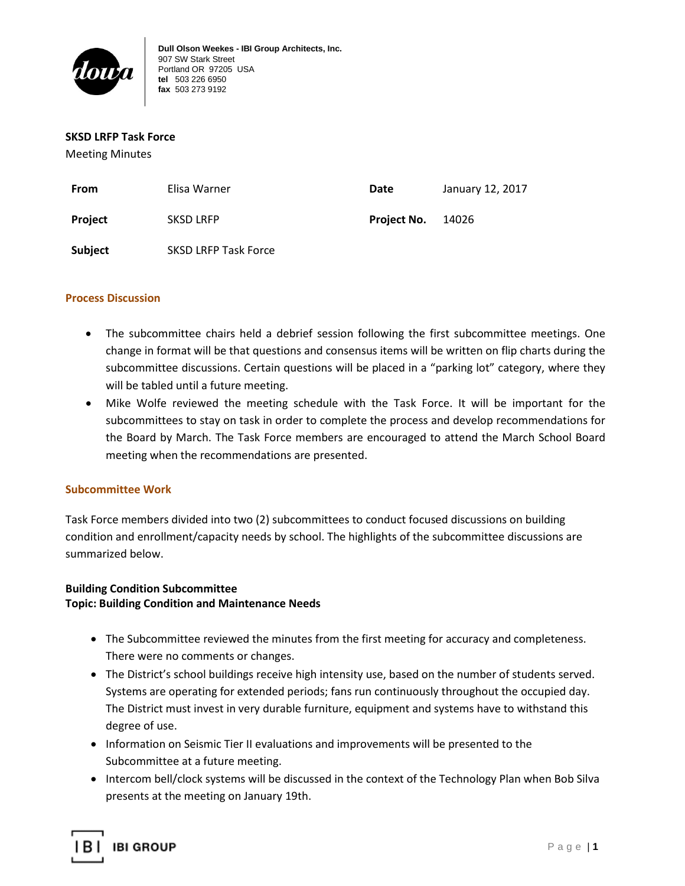

#### **SKSD LRFP Task Force**

Meeting Minutes

| From    | Elisa Warner                | Date        | January 12, 2017 |
|---------|-----------------------------|-------------|------------------|
| Project | <b>SKSD LRFP</b>            | Project No. | 14026            |
| Subject | <b>SKSD LRFP Task Force</b> |             |                  |

### **Process Discussion**

- The subcommittee chairs held a debrief session following the first subcommittee meetings. One change in format will be that questions and consensus items will be written on flip charts during the subcommittee discussions. Certain questions will be placed in a "parking lot" category, where they will be tabled until a future meeting.
- Mike Wolfe reviewed the meeting schedule with the Task Force. It will be important for the subcommittees to stay on task in order to complete the process and develop recommendations for the Board by March. The Task Force members are encouraged to attend the March School Board meeting when the recommendations are presented.

### **Subcommittee Work**

Task Force members divided into two (2) subcommittees to conduct focused discussions on building condition and enrollment/capacity needs by school. The highlights of the subcommittee discussions are summarized below.

## **Building Condition Subcommittee Topic: Building Condition and Maintenance Needs**

- The Subcommittee reviewed the minutes from the first meeting for accuracy and completeness. There were no comments or changes.
- The District's school buildings receive high intensity use, based on the number of students served. Systems are operating for extended periods; fans run continuously throughout the occupied day. The District must invest in very durable furniture, equipment and systems have to withstand this degree of use.
- Information on Seismic Tier II evaluations and improvements will be presented to the Subcommittee at a future meeting.
- Intercom bell/clock systems will be discussed in the context of the Technology Plan when Bob Silva presents at the meeting on January 19th.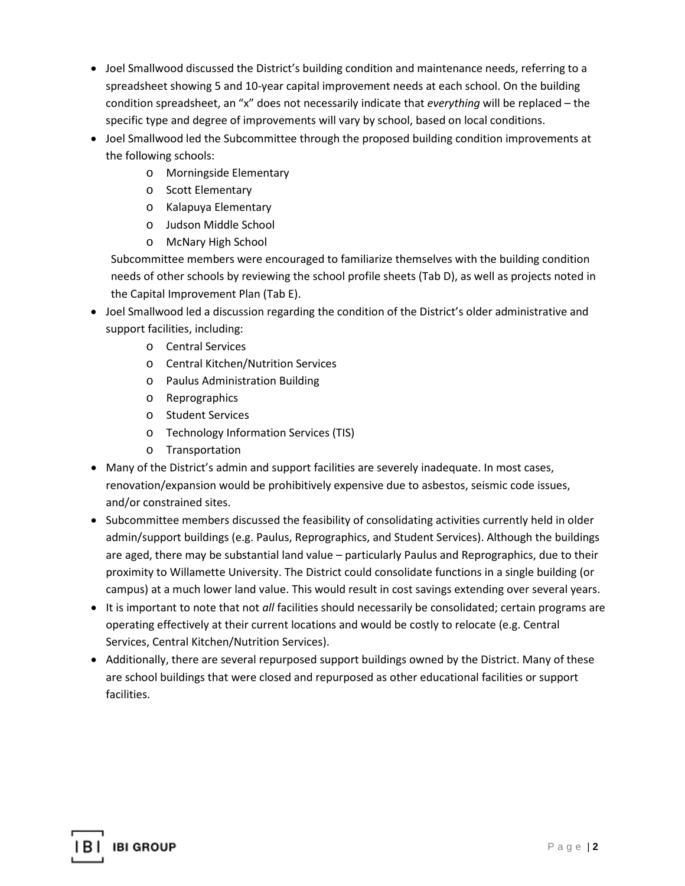- Joel Smallwood discussed the District's building condition and maintenance needs, referring to a spreadsheet showing 5 and 10-year capital improvement needs at each school. On the building condition spreadsheet, an "x" does not necessarily indicate that *everything* will be replaced – the specific type and degree of improvements will vary by school, based on local conditions.
- Joel Smallwood led the Subcommittee through the proposed building condition improvements at the following schools:
	- o Morningside Elementary
	- o Scott Elementary
	- o Kalapuya Elementary
	- o Judson Middle School
	- o McNary High School

Subcommittee members were encouraged to familiarize themselves with the building condition needs of other schools by reviewing the school profile sheets (Tab D), as well as projects noted in the Capital Improvement Plan (Tab E).

- Joel Smallwood led a discussion regarding the condition of the District's older administrative and support facilities, including:
	- o Central Services
	- o Central Kitchen/Nutrition Services
	- o Paulus Administration Building
	- o Reprographics
	- o Student Services
	- o Technology Information Services (TIS)
	- o Transportation
- Many of the District's admin and support facilities are severely inadequate. In most cases, renovation/expansion would be prohibitively expensive due to asbestos, seismic code issues, and/or constrained sites.
- Subcommittee members discussed the feasibility of consolidating activities currently held in older admin/support buildings (e.g. Paulus, Reprographics, and Student Services). Although the buildings are aged, there may be substantial land value – particularly Paulus and Reprographics, due to their proximity to Willamette University. The District could consolidate functions in a single building (or campus) at a much lower land value. This would result in cost savings extending over several years.
- It is important to note that not *all* facilities should necessarily be consolidated; certain programs are operating effectively at their current locations and would be costly to relocate (e.g. Central Services, Central Kitchen/Nutrition Services).
- Additionally, there are several repurposed support buildings owned by the District. Many of these are school buildings that were closed and repurposed as other educational facilities or support facilities.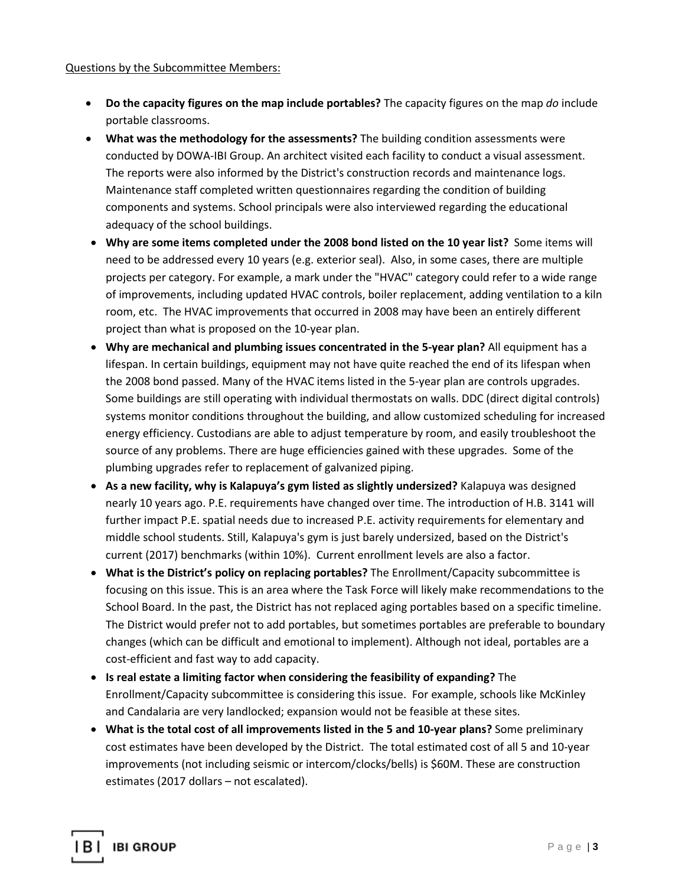### Questions by the Subcommittee Members:

- **Do the capacity figures on the map include portables?** The capacity figures on the map *do* include portable classrooms.
- **What was the methodology for the assessments?** The building condition assessments were conducted by DOWA-IBI Group. An architect visited each facility to conduct a visual assessment. The reports were also informed by the District's construction records and maintenance logs. Maintenance staff completed written questionnaires regarding the condition of building components and systems. School principals were also interviewed regarding the educational adequacy of the school buildings.
- **Why are some items completed under the 2008 bond listed on the 10 year list?** Some items will need to be addressed every 10 years (e.g. exterior seal). Also, in some cases, there are multiple projects per category. For example, a mark under the "HVAC" category could refer to a wide range of improvements, including updated HVAC controls, boiler replacement, adding ventilation to a kiln room, etc. The HVAC improvements that occurred in 2008 may have been an entirely different project than what is proposed on the 10-year plan.
- **Why are mechanical and plumbing issues concentrated in the 5-year plan?** All equipment has a lifespan. In certain buildings, equipment may not have quite reached the end of its lifespan when the 2008 bond passed. Many of the HVAC items listed in the 5-year plan are controls upgrades. Some buildings are still operating with individual thermostats on walls. DDC (direct digital controls) systems monitor conditions throughout the building, and allow customized scheduling for increased energy efficiency. Custodians are able to adjust temperature by room, and easily troubleshoot the source of any problems. There are huge efficiencies gained with these upgrades. Some of the plumbing upgrades refer to replacement of galvanized piping.
- **As a new facility, why is Kalapuya's gym listed as slightly undersized?** Kalapuya was designed nearly 10 years ago. P.E. requirements have changed over time. The introduction of H.B. 3141 will further impact P.E. spatial needs due to increased P.E. activity requirements for elementary and middle school students. Still, Kalapuya's gym is just barely undersized, based on the District's current (2017) benchmarks (within 10%). Current enrollment levels are also a factor.
- **What is the District's policy on replacing portables?** The Enrollment/Capacity subcommittee is focusing on this issue. This is an area where the Task Force will likely make recommendations to the School Board. In the past, the District has not replaced aging portables based on a specific timeline. The District would prefer not to add portables, but sometimes portables are preferable to boundary changes (which can be difficult and emotional to implement). Although not ideal, portables are a cost-efficient and fast way to add capacity.
- **Is real estate a limiting factor when considering the feasibility of expanding?** The Enrollment/Capacity subcommittee is considering this issue. For example, schools like McKinley and Candalaria are very landlocked; expansion would not be feasible at these sites.
- **What is the total cost of all improvements listed in the 5 and 10-year plans?** Some preliminary cost estimates have been developed by the District. The total estimated cost of all 5 and 10-year improvements (not including seismic or intercom/clocks/bells) is \$60M. These are construction estimates (2017 dollars – not escalated).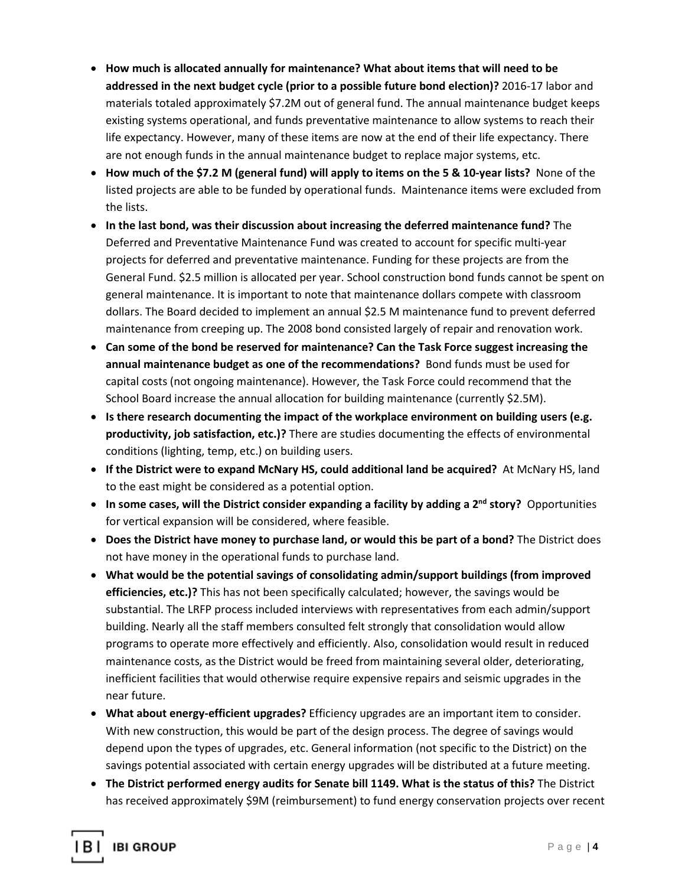- **How much is allocated annually for maintenance? What about items that will need to be addressed in the next budget cycle (prior to a possible future bond election)?** 2016-17 labor and materials totaled approximately \$7.2M out of general fund. The annual maintenance budget keeps existing systems operational, and funds preventative maintenance to allow systems to reach their life expectancy. However, many of these items are now at the end of their life expectancy. There are not enough funds in the annual maintenance budget to replace major systems, etc.
- **How much of the \$7.2 M (general fund) will apply to items on the 5 & 10-year lists?** None of the listed projects are able to be funded by operational funds. Maintenance items were excluded from the lists.
- **In the last bond, was their discussion about increasing the deferred maintenance fund?** The Deferred and Preventative Maintenance Fund was created to account for specific multi-year projects for deferred and preventative maintenance. Funding for these projects are from the General Fund. \$2.5 million is allocated per year. School construction bond funds cannot be spent on general maintenance. It is important to note that maintenance dollars compete with classroom dollars. The Board decided to implement an annual \$2.5 M maintenance fund to prevent deferred maintenance from creeping up. The 2008 bond consisted largely of repair and renovation work.
- **Can some of the bond be reserved for maintenance? Can the Task Force suggest increasing the annual maintenance budget as one of the recommendations?** Bond funds must be used for capital costs (not ongoing maintenance). However, the Task Force could recommend that the School Board increase the annual allocation for building maintenance (currently \$2.5M).
- **Is there research documenting the impact of the workplace environment on building users (e.g. productivity, job satisfaction, etc.)?** There are studies documenting the effects of environmental conditions (lighting, temp, etc.) on building users.
- **If the District were to expand McNary HS, could additional land be acquired?** At McNary HS, land to the east might be considered as a potential option.
- **In some cases, will the District consider expanding a facility by adding a 2nd story?** Opportunities for vertical expansion will be considered, where feasible.
- **Does the District have money to purchase land, or would this be part of a bond?** The District does not have money in the operational funds to purchase land.
- **What would be the potential savings of consolidating admin/support buildings (from improved efficiencies, etc.)?** This has not been specifically calculated; however, the savings would be substantial. The LRFP process included interviews with representatives from each admin/support building. Nearly all the staff members consulted felt strongly that consolidation would allow programs to operate more effectively and efficiently. Also, consolidation would result in reduced maintenance costs, as the District would be freed from maintaining several older, deteriorating, inefficient facilities that would otherwise require expensive repairs and seismic upgrades in the near future.
- **What about energy-efficient upgrades?** Efficiency upgrades are an important item to consider. With new construction, this would be part of the design process. The degree of savings would depend upon the types of upgrades, etc. General information (not specific to the District) on the savings potential associated with certain energy upgrades will be distributed at a future meeting.
- **The District performed energy audits for Senate bill 1149. What is the status of this?** The District has received approximately \$9M (reimbursement) to fund energy conservation projects over recent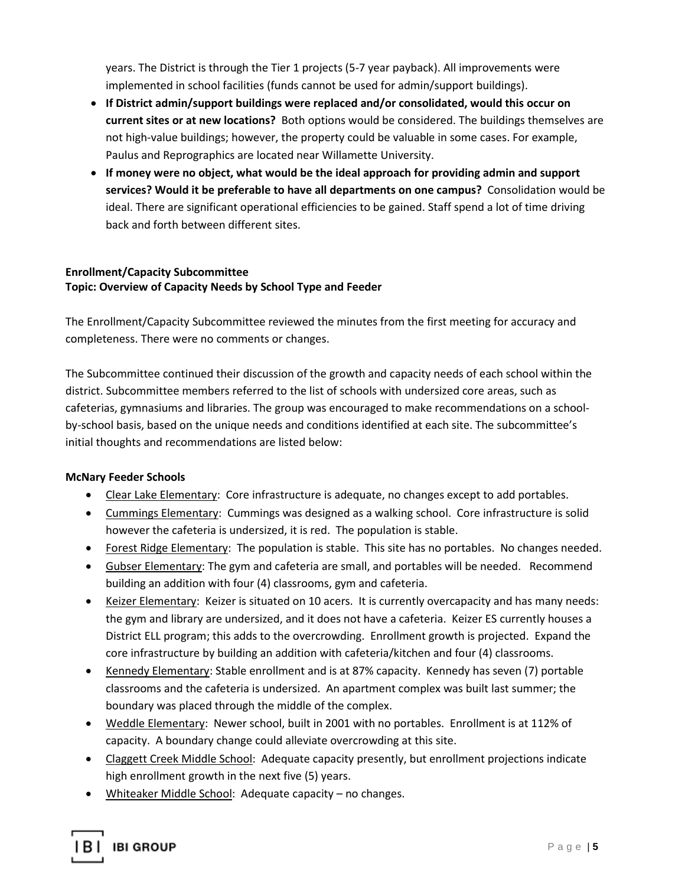years. The District is through the Tier 1 projects (5-7 year payback). All improvements were implemented in school facilities (funds cannot be used for admin/support buildings).

- **If District admin/support buildings were replaced and/or consolidated, would this occur on current sites or at new locations?** Both options would be considered. The buildings themselves are not high-value buildings; however, the property could be valuable in some cases. For example, Paulus and Reprographics are located near Willamette University.
- **If money were no object, what would be the ideal approach for providing admin and support services? Would it be preferable to have all departments on one campus?** Consolidation would be ideal. There are significant operational efficiencies to be gained. Staff spend a lot of time driving back and forth between different sites.

## **Enrollment/Capacity Subcommittee Topic: Overview of Capacity Needs by School Type and Feeder**

The Enrollment/Capacity Subcommittee reviewed the minutes from the first meeting for accuracy and completeness. There were no comments or changes.

The Subcommittee continued their discussion of the growth and capacity needs of each school within the district. Subcommittee members referred to the list of schools with undersized core areas, such as cafeterias, gymnasiums and libraries. The group was encouraged to make recommendations on a schoolby-school basis, based on the unique needs and conditions identified at each site. The subcommittee's initial thoughts and recommendations are listed below:

# **McNary Feeder Schools**

- Clear Lake Elementary: Core infrastructure is adequate, no changes except to add portables.
- Cummings Elementary: Cummings was designed as a walking school. Core infrastructure is solid however the cafeteria is undersized, it is red. The population is stable.
- Forest Ridge Elementary: The population is stable. This site has no portables. No changes needed.
- Gubser Elementary: The gym and cafeteria are small, and portables will be needed. Recommend building an addition with four (4) classrooms, gym and cafeteria.
- Keizer Elementary: Keizer is situated on 10 acers. It is currently overcapacity and has many needs: the gym and library are undersized, and it does not have a cafeteria. Keizer ES currently houses a District ELL program; this adds to the overcrowding. Enrollment growth is projected. Expand the core infrastructure by building an addition with cafeteria/kitchen and four (4) classrooms.
- Kennedy Elementary: Stable enrollment and is at 87% capacity. Kennedy has seven (7) portable classrooms and the cafeteria is undersized. An apartment complex was built last summer; the boundary was placed through the middle of the complex.
- Weddle Elementary: Newer school, built in 2001 with no portables. Enrollment is at 112% of capacity. A boundary change could alleviate overcrowding at this site.
- Claggett Creek Middle School: Adequate capacity presently, but enrollment projections indicate high enrollment growth in the next five (5) years.
- Whiteaker Middle School: Adequate capacity no changes.

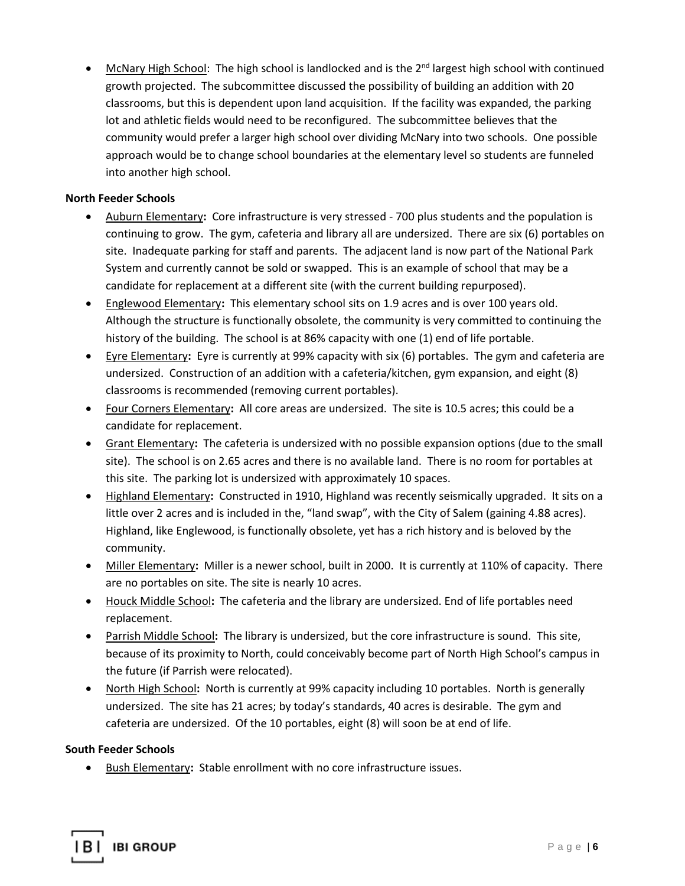• McNary High School: The high school is landlocked and is the 2<sup>nd</sup> largest high school with continued growth projected. The subcommittee discussed the possibility of building an addition with 20 classrooms, but this is dependent upon land acquisition. If the facility was expanded, the parking lot and athletic fields would need to be reconfigured. The subcommittee believes that the community would prefer a larger high school over dividing McNary into two schools. One possible approach would be to change school boundaries at the elementary level so students are funneled into another high school.

### **North Feeder Schools**

- Auburn Elementary**:** Core infrastructure is very stressed 700 plus students and the population is continuing to grow. The gym, cafeteria and library all are undersized. There are six (6) portables on site. Inadequate parking for staff and parents. The adjacent land is now part of the National Park System and currently cannot be sold or swapped. This is an example of school that may be a candidate for replacement at a different site (with the current building repurposed).
- Englewood Elementary**:** This elementary school sits on 1.9 acres and is over 100 years old. Although the structure is functionally obsolete, the community is very committed to continuing the history of the building. The school is at 86% capacity with one (1) end of life portable.
- Eyre Elementary**:** Eyre is currently at 99% capacity with six (6) portables. The gym and cafeteria are undersized. Construction of an addition with a cafeteria/kitchen, gym expansion, and eight (8) classrooms is recommended (removing current portables).
- Four Corners Elementary**:** All core areas are undersized. The site is 10.5 acres; this could be a candidate for replacement.
- Grant Elementary**:** The cafeteria is undersized with no possible expansion options (due to the small site). The school is on 2.65 acres and there is no available land. There is no room for portables at this site. The parking lot is undersized with approximately 10 spaces.
- Highland Elementary**:** Constructed in 1910, Highland was recently seismically upgraded. It sits on a little over 2 acres and is included in the, "land swap", with the City of Salem (gaining 4.88 acres). Highland, like Englewood, is functionally obsolete, yet has a rich history and is beloved by the community.
- Miller Elementary**:** Miller is a newer school, built in 2000. It is currently at 110% of capacity. There are no portables on site. The site is nearly 10 acres.
- Houck Middle School**:** The cafeteria and the library are undersized. End of life portables need replacement.
- Parrish Middle School**:** The library is undersized, but the core infrastructure is sound. This site, because of its proximity to North, could conceivably become part of North High School's campus in the future (if Parrish were relocated).
- North High School**:** North is currently at 99% capacity including 10 portables. North is generally undersized. The site has 21 acres; by today's standards, 40 acres is desirable. The gym and cafeteria are undersized. Of the 10 portables, eight (8) will soon be at end of life.

### **South Feeder Schools**

• Bush Elementary**:** Stable enrollment with no core infrastructure issues.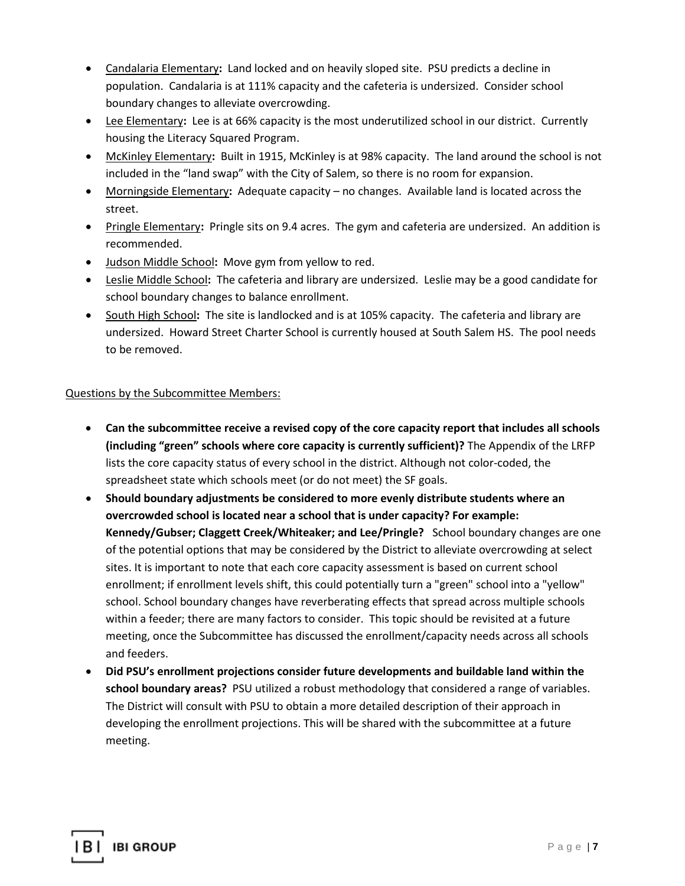- Candalaria Elementary**:** Land locked and on heavily sloped site. PSU predicts a decline in population. Candalaria is at 111% capacity and the cafeteria is undersized. Consider school boundary changes to alleviate overcrowding.
- Lee Elementary**:** Lee is at 66% capacity is the most underutilized school in our district. Currently housing the Literacy Squared Program.
- McKinley Elementary**:** Built in 1915, McKinley is at 98% capacity. The land around the school is not included in the "land swap" with the City of Salem, so there is no room for expansion.
- Morningside Elementary**:** Adequate capacity no changes. Available land is located across the street.
- Pringle Elementary**:** Pringle sits on 9.4 acres. The gym and cafeteria are undersized. An addition is recommended.
- Judson Middle School**:** Move gym from yellow to red.
- Leslie Middle School**:** The cafeteria and library are undersized. Leslie may be a good candidate for school boundary changes to balance enrollment.
- South High School**:** The site is landlocked and is at 105% capacity. The cafeteria and library are undersized. Howard Street Charter School is currently housed at South Salem HS. The pool needs to be removed.

## Questions by the Subcommittee Members:

- **Can the subcommittee receive a revised copy of the core capacity report that includes all schools (including "green" schools where core capacity is currently sufficient)?** The Appendix of the LRFP lists the core capacity status of every school in the district. Although not color-coded, the spreadsheet state which schools meet (or do not meet) the SF goals.
- **Should boundary adjustments be considered to more evenly distribute students where an overcrowded school is located near a school that is under capacity? For example: Kennedy/Gubser; Claggett Creek/Whiteaker; and Lee/Pringle?** School boundary changes are one of the potential options that may be considered by the District to alleviate overcrowding at select sites. It is important to note that each core capacity assessment is based on current school enrollment; if enrollment levels shift, this could potentially turn a "green" school into a "yellow" school. School boundary changes have reverberating effects that spread across multiple schools within a feeder; there are many factors to consider. This topic should be revisited at a future meeting, once the Subcommittee has discussed the enrollment/capacity needs across all schools and feeders.
- **Did PSU's enrollment projections consider future developments and buildable land within the school boundary areas?** PSU utilized a robust methodology that considered a range of variables. The District will consult with PSU to obtain a more detailed description of their approach in developing the enrollment projections. This will be shared with the subcommittee at a future meeting.